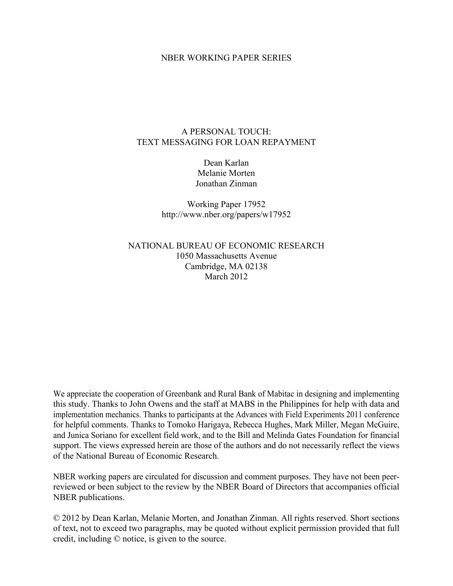### NBER WORKING PAPER SERIES

# A PERSONAL TOUCH: TEXT MESSAGING FOR LOAN REPAYMENT

Dean Karlan Melanie Morten Jonathan Zinman

Working Paper 17952 http://www.nber.org/papers/w17952

NATIONAL BUREAU OF ECONOMIC RESEARCH 1050 Massachusetts Avenue Cambridge, MA 02138 March 2012

We appreciate the cooperation of Greenbank and Rural Bank of Mabitac in designing and implementing this study. Thanks to John Owens and the staff at MABS in the Philippines for help with data and implementation mechanics. Thanks to participants at the Advances with Field Experiments 2011 conference for helpful comments. Thanks to Tomoko Harigaya, Rebecca Hughes, Mark Miller, Megan McGuire, and Junica Soriano for excellent field work, and to the Bill and Melinda Gates Foundation for financial support. The views expressed herein are those of the authors and do not necessarily reflect the views of the National Bureau of Economic Research.

NBER working papers are circulated for discussion and comment purposes. They have not been peerreviewed or been subject to the review by the NBER Board of Directors that accompanies official NBER publications.

© 2012 by Dean Karlan, Melanie Morten, and Jonathan Zinman. All rights reserved. Short sections of text, not to exceed two paragraphs, may be quoted without explicit permission provided that full credit, including © notice, is given to the source.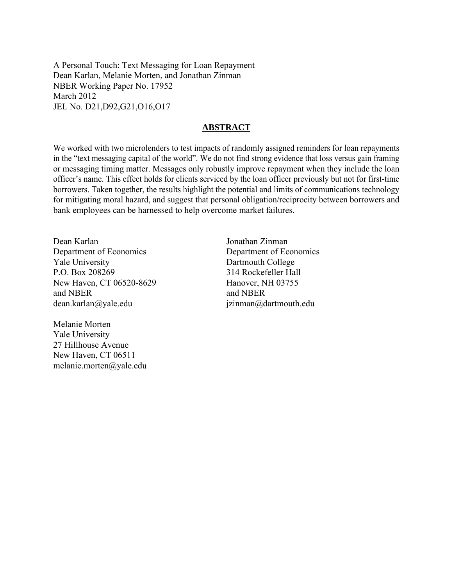A Personal Touch: Text Messaging for Loan Repayment Dean Karlan, Melanie Morten, and Jonathan Zinman NBER Working Paper No. 17952 March 2012 JEL No. D21,D92,G21,O16,O17

## **ABSTRACT**

We worked with two microlenders to test impacts of randomly assigned reminders for loan repayments in the "text messaging capital of the world". We do not find strong evidence that loss versus gain framing or messaging timing matter. Messages only robustly improve repayment when they include the loan officer's name. This effect holds for clients serviced by the loan officer previously but not for first-time borrowers. Taken together, the results highlight the potential and limits of communications technology for mitigating moral hazard, and suggest that personal obligation/reciprocity between borrowers and bank employees can be harnessed to help overcome market failures.

Dean Karlan Department of Economics Yale University P.O. Box 208269 New Haven, CT 06520-8629 and NBER dean.karlan@yale.edu

Melanie Morten Yale University 27 Hillhouse Avenue New Haven, CT 06511 melanie.morten@yale.edu

Jonathan Zinman Department of Economics Dartmouth College 314 Rockefeller Hall Hanover, NH 03755 and NBER jzinman@dartmouth.edu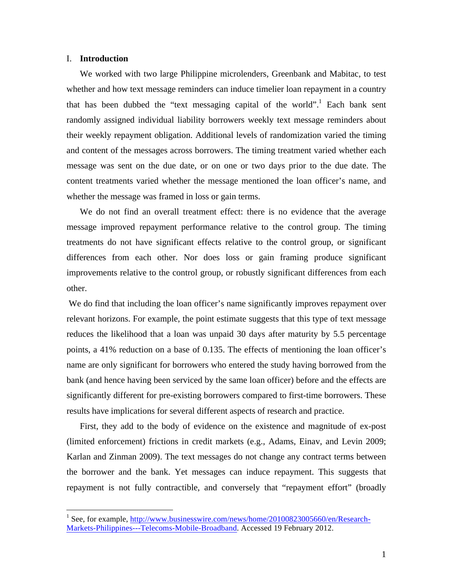### I. **Introduction**

 $\overline{a}$ 

We worked with two large Philippine microlenders, Greenbank and Mabitac, to test whether and how text message reminders can induce timelier loan repayment in a country that has been dubbed the "text messaging capital of the world".<sup>1</sup> Each bank sent randomly assigned individual liability borrowers weekly text message reminders about their weekly repayment obligation. Additional levels of randomization varied the timing and content of the messages across borrowers. The timing treatment varied whether each message was sent on the due date, or on one or two days prior to the due date. The content treatments varied whether the message mentioned the loan officer's name, and whether the message was framed in loss or gain terms.

We do not find an overall treatment effect: there is no evidence that the average message improved repayment performance relative to the control group. The timing treatments do not have significant effects relative to the control group, or significant differences from each other. Nor does loss or gain framing produce significant improvements relative to the control group, or robustly significant differences from each other.

We do find that including the loan officer's name significantly improves repayment over relevant horizons. For example, the point estimate suggests that this type of text message reduces the likelihood that a loan was unpaid 30 days after maturity by 5.5 percentage points, a 41% reduction on a base of 0.135. The effects of mentioning the loan officer's name are only significant for borrowers who entered the study having borrowed from the bank (and hence having been serviced by the same loan officer) before and the effects are significantly different for pre-existing borrowers compared to first-time borrowers. These results have implications for several different aspects of research and practice.

First, they add to the body of evidence on the existence and magnitude of ex-post (limited enforcement) frictions in credit markets (e.g., Adams, Einav, and Levin 2009; Karlan and Zinman 2009). The text messages do not change any contract terms between the borrower and the bank. Yet messages can induce repayment. This suggests that repayment is not fully contractible, and conversely that "repayment effort" (broadly

<sup>&</sup>lt;sup>1</sup> See, for example, http://www.businesswire.com/news/home/20100823005660/en/Research-Markets-Philippines---Telecoms-Mobile-Broadband. Accessed 19 February 2012.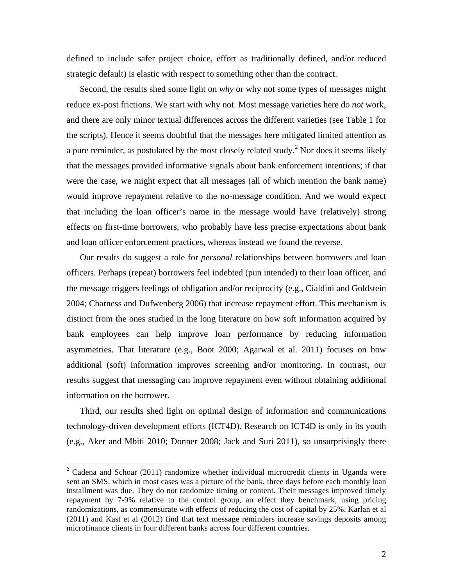defined to include safer project choice, effort as traditionally defined, and/or reduced strategic default) is elastic with respect to something other than the contract.

Second, the results shed some light on *why* or why not some types of messages might reduce ex-post frictions. We start with why not. Most message varieties here do *not* work, and there are only minor textual differences across the different varieties (see Table 1 for the scripts). Hence it seems doubtful that the messages here mitigated limited attention as a pure reminder, as postulated by the most closely related study.<sup>2</sup> Nor does it seems likely that the messages provided informative signals about bank enforcement intentions; if that were the case, we might expect that all messages (all of which mention the bank name) would improve repayment relative to the no-message condition. And we would expect that including the loan officer's name in the message would have (relatively) strong effects on first-time borrowers, who probably have less precise expectations about bank and loan officer enforcement practices, whereas instead we found the reverse.

Our results do suggest a role for *personal* relationships between borrowers and loan officers. Perhaps (repeat) borrowers feel indebted (pun intended) to their loan officer, and the message triggers feelings of obligation and/or reciprocity (e.g., Cialdini and Goldstein 2004; Charness and Dufwenberg 2006) that increase repayment effort. This mechanism is distinct from the ones studied in the long literature on how soft information acquired by bank employees can help improve loan performance by reducing information asymmetries. That literature (e.g., Boot 2000; Agarwal et al. 2011) focuses on how additional (soft) information improves screening and/or monitoring. In contrast, our results suggest that messaging can improve repayment even without obtaining additional information on the borrower.

Third, our results shed light on optimal design of information and communications technology-driven development efforts (ICT4D). Research on ICT4D is only in its youth (e.g., Aker and Mbiti 2010; Donner 2008; Jack and Suri 2011), so unsurprisingly there

 $\overline{a}$ 

 $2$  Cadena and Schoar (2011) randomize whether individual microcredit clients in Uganda were sent an SMS, which in most cases was a picture of the bank, three days before each monthly loan installment was due. They do not randomize timing or content. Their messages improved timely repayment by 7-9% relative to the control group, an effect they benchmark, using pricing randomizations, as commensurate with effects of reducing the cost of capital by 25%. Karlan et al (2011) and Kast et al (2012) find that text message reminders increase savings deposits among microfinance clients in four different banks across four different countries.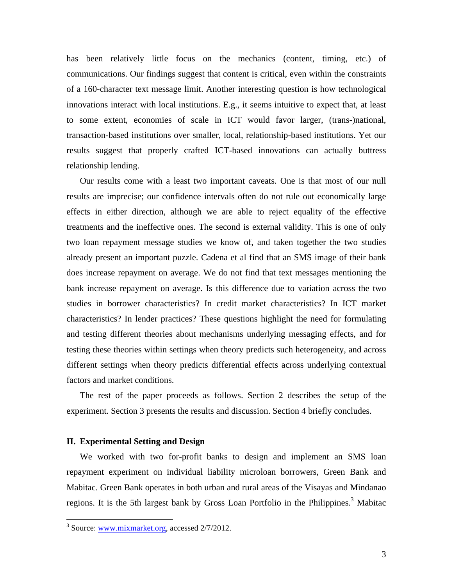has been relatively little focus on the mechanics (content, timing, etc.) of communications. Our findings suggest that content is critical, even within the constraints of a 160-character text message limit. Another interesting question is how technological innovations interact with local institutions. E.g., it seems intuitive to expect that, at least to some extent, economies of scale in ICT would favor larger, (trans-)national, transaction-based institutions over smaller, local, relationship-based institutions. Yet our results suggest that properly crafted ICT-based innovations can actually buttress relationship lending.

Our results come with a least two important caveats. One is that most of our null results are imprecise; our confidence intervals often do not rule out economically large effects in either direction, although we are able to reject equality of the effective treatments and the ineffective ones. The second is external validity. This is one of only two loan repayment message studies we know of, and taken together the two studies already present an important puzzle. Cadena et al find that an SMS image of their bank does increase repayment on average. We do not find that text messages mentioning the bank increase repayment on average. Is this difference due to variation across the two studies in borrower characteristics? In credit market characteristics? In ICT market characteristics? In lender practices? These questions highlight the need for formulating and testing different theories about mechanisms underlying messaging effects, and for testing these theories within settings when theory predicts such heterogeneity, and across different settings when theory predicts differential effects across underlying contextual factors and market conditions.

The rest of the paper proceeds as follows. Section 2 describes the setup of the experiment. Section 3 presents the results and discussion. Section 4 briefly concludes.

#### **II. Experimental Setting and Design**

We worked with two for-profit banks to design and implement an SMS loan repayment experiment on individual liability microloan borrowers, Green Bank and Mabitac. Green Bank operates in both urban and rural areas of the Visayas and Mindanao regions. It is the 5th largest bank by Gross Loan Portfolio in the Philippines.<sup>3</sup> Mabitac

<u>.</u>

 $3$  Source: www.mixmarket.org, accessed  $2/7/2012$ .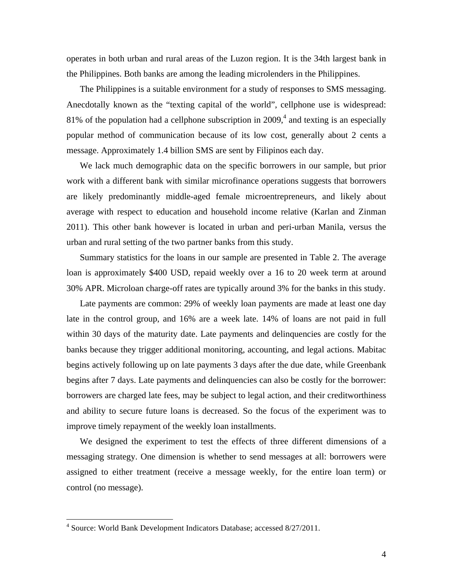operates in both urban and rural areas of the Luzon region. It is the 34th largest bank in the Philippines. Both banks are among the leading microlenders in the Philippines.

The Philippines is a suitable environment for a study of responses to SMS messaging. Anecdotally known as the "texting capital of the world", cellphone use is widespread: 81% of the population had a cellphone subscription in 2009,<sup>4</sup> and texting is an especially popular method of communication because of its low cost, generally about 2 cents a message. Approximately 1.4 billion SMS are sent by Filipinos each day.

We lack much demographic data on the specific borrowers in our sample, but prior work with a different bank with similar microfinance operations suggests that borrowers are likely predominantly middle-aged female microentrepreneurs, and likely about average with respect to education and household income relative (Karlan and Zinman 2011). This other bank however is located in urban and peri-urban Manila, versus the urban and rural setting of the two partner banks from this study.

Summary statistics for the loans in our sample are presented in Table 2. The average loan is approximately \$400 USD, repaid weekly over a 16 to 20 week term at around 30% APR. Microloan charge-off rates are typically around 3% for the banks in this study.

Late payments are common: 29% of weekly loan payments are made at least one day late in the control group, and 16% are a week late. 14% of loans are not paid in full within 30 days of the maturity date. Late payments and delinquencies are costly for the banks because they trigger additional monitoring, accounting, and legal actions. Mabitac begins actively following up on late payments 3 days after the due date, while Greenbank begins after 7 days. Late payments and delinquencies can also be costly for the borrower: borrowers are charged late fees, may be subject to legal action, and their creditworthiness and ability to secure future loans is decreased. So the focus of the experiment was to improve timely repayment of the weekly loan installments.

We designed the experiment to test the effects of three different dimensions of a messaging strategy. One dimension is whether to send messages at all: borrowers were assigned to either treatment (receive a message weekly, for the entire loan term) or control (no message).

 $\overline{a}$ 

<sup>4</sup> Source: World Bank Development Indicators Database; accessed 8/27/2011.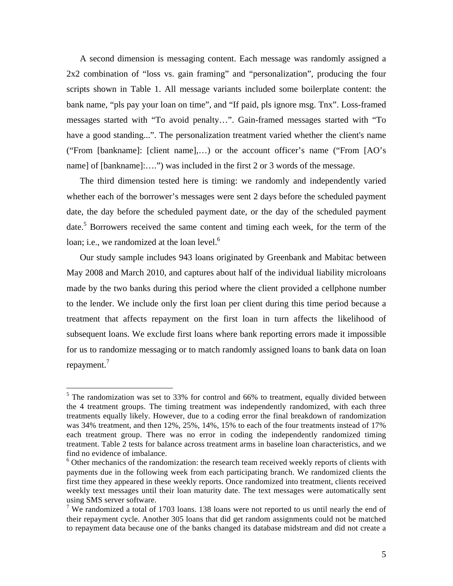A second dimension is messaging content. Each message was randomly assigned a 2x2 combination of "loss vs. gain framing" and "personalization", producing the four scripts shown in Table 1. All message variants included some boilerplate content: the bank name, "pls pay your loan on time", and "If paid, pls ignore msg. Tnx". Loss-framed messages started with "To avoid penalty…". Gain-framed messages started with "To have a good standing...". The personalization treatment varied whether the client's name ("From [bankname]: [client name],…) or the account officer's name ("From [AO's name] of [bankname]:....") was included in the first 2 or 3 words of the message.

The third dimension tested here is timing: we randomly and independently varied whether each of the borrower's messages were sent 2 days before the scheduled payment date, the day before the scheduled payment date, or the day of the scheduled payment date.<sup>5</sup> Borrowers received the same content and timing each week, for the term of the loan; i.e., we randomized at the loan level.<sup>6</sup>

Our study sample includes 943 loans originated by Greenbank and Mabitac between May 2008 and March 2010, and captures about half of the individual liability microloans made by the two banks during this period where the client provided a cellphone number to the lender. We include only the first loan per client during this time period because a treatment that affects repayment on the first loan in turn affects the likelihood of subsequent loans. We exclude first loans where bank reporting errors made it impossible for us to randomize messaging or to match randomly assigned loans to bank data on loan repayment.<sup>7</sup>

1

<sup>&</sup>lt;sup>5</sup> The randomization was set to 33% for control and 66% to treatment, equally divided between the 4 treatment groups. The timing treatment was independently randomized, with each three treatments equally likely. However, due to a coding error the final breakdown of randomization was 34% treatment, and then 12%, 25%, 14%, 15% to each of the four treatments instead of 17% each treatment group. There was no error in coding the independently randomized timing treatment. Table 2 tests for balance across treatment arms in baseline loan characteristics, and we find no evidence of imbalance.

 $6$  Other mechanics of the randomization: the research team received weekly reports of clients with payments due in the following week from each participating branch. We randomized clients the first time they appeared in these weekly reports. Once randomized into treatment, clients received weekly text messages until their loan maturity date. The text messages were automatically sent using SMS server software.

<sup>&</sup>lt;sup>7</sup> We randomized a total of 1703 loans. 138 loans were not reported to us until nearly the end of their repayment cycle. Another 305 loans that did get random assignments could not be matched to repayment data because one of the banks changed its database midstream and did not create a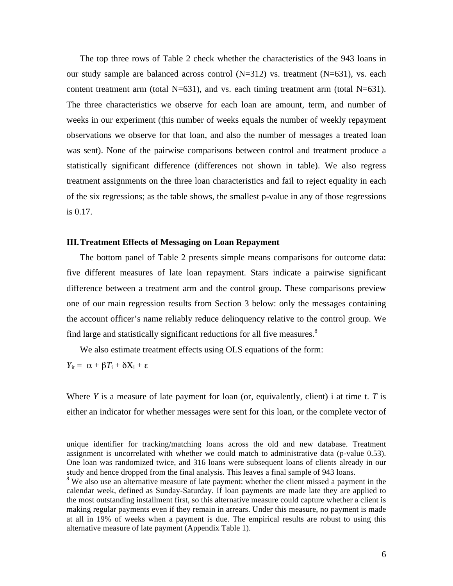The top three rows of Table 2 check whether the characteristics of the 943 loans in our study sample are balanced across control  $(N=312)$  vs. treatment  $(N=631)$ , vs. each content treatment arm (total N=631), and vs. each timing treatment arm (total N=631). The three characteristics we observe for each loan are amount, term, and number of weeks in our experiment (this number of weeks equals the number of weekly repayment observations we observe for that loan, and also the number of messages a treated loan was sent). None of the pairwise comparisons between control and treatment produce a statistically significant difference (differences not shown in table). We also regress treatment assignments on the three loan characteristics and fail to reject equality in each of the six regressions; as the table shows, the smallest p-value in any of those regressions is 0.17.

### **III.Treatment Effects of Messaging on Loan Repayment**

The bottom panel of Table 2 presents simple means comparisons for outcome data: five different measures of late loan repayment. Stars indicate a pairwise significant difference between a treatment arm and the control group. These comparisons preview one of our main regression results from Section 3 below: only the messages containing the account officer's name reliably reduce delinquency relative to the control group. We find large and statistically significant reductions for all five measures.<sup>8</sup>

We also estimate treatment effects using OLS equations of the form:

*Y*<sub>it</sub> =  $\alpha + \beta T$ <sub>i</sub> + δX<sub>i</sub> + ε

 $\overline{a}$ 

Where *Y* is a measure of late payment for loan (or, equivalently, client) i at time t. *T* is either an indicator for whether messages were sent for this loan, or the complete vector of

unique identifier for tracking/matching loans across the old and new database. Treatment assignment is uncorrelated with whether we could match to administrative data (p-value 0.53). One loan was randomized twice, and 316 loans were subsequent loans of clients already in our study and hence dropped from the final analysis. This leaves a final sample of 943 loans.

 $8$  We also use an alternative measure of late payment: whether the client missed a payment in the calendar week, defined as Sunday-Saturday. If loan payments are made late they are applied to the most outstanding installment first, so this alternative measure could capture whether a client is making regular payments even if they remain in arrears. Under this measure, no payment is made at all in 19% of weeks when a payment is due. The empirical results are robust to using this alternative measure of late payment (Appendix Table 1).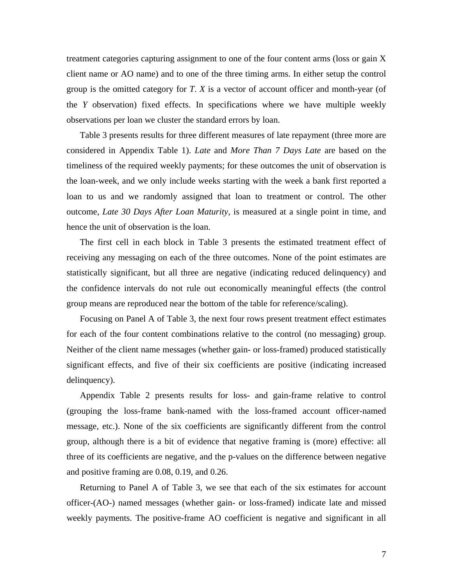treatment categories capturing assignment to one of the four content arms (loss or gain X client name or AO name) and to one of the three timing arms. In either setup the control group is the omitted category for *T*. *X* is a vector of account officer and month-year (of the *Y* observation) fixed effects. In specifications where we have multiple weekly observations per loan we cluster the standard errors by loan.

Table 3 presents results for three different measures of late repayment (three more are considered in Appendix Table 1). *Late* and *More Than 7 Days Late* are based on the timeliness of the required weekly payments; for these outcomes the unit of observation is the loan-week, and we only include weeks starting with the week a bank first reported a loan to us and we randomly assigned that loan to treatment or control. The other outcome, *Late 30 Days After Loan Maturity*, is measured at a single point in time, and hence the unit of observation is the loan.

The first cell in each block in Table 3 presents the estimated treatment effect of receiving any messaging on each of the three outcomes. None of the point estimates are statistically significant, but all three are negative (indicating reduced delinquency) and the confidence intervals do not rule out economically meaningful effects (the control group means are reproduced near the bottom of the table for reference/scaling).

Focusing on Panel A of Table 3, the next four rows present treatment effect estimates for each of the four content combinations relative to the control (no messaging) group. Neither of the client name messages (whether gain- or loss-framed) produced statistically significant effects, and five of their six coefficients are positive (indicating increased delinquency).

Appendix Table 2 presents results for loss- and gain-frame relative to control (grouping the loss-frame bank-named with the loss-framed account officer-named message, etc.). None of the six coefficients are significantly different from the control group, although there is a bit of evidence that negative framing is (more) effective: all three of its coefficients are negative, and the p-values on the difference between negative and positive framing are 0.08, 0.19, and 0.26.

Returning to Panel A of Table 3, we see that each of the six estimates for account officer-(AO-) named messages (whether gain- or loss-framed) indicate late and missed weekly payments. The positive-frame AO coefficient is negative and significant in all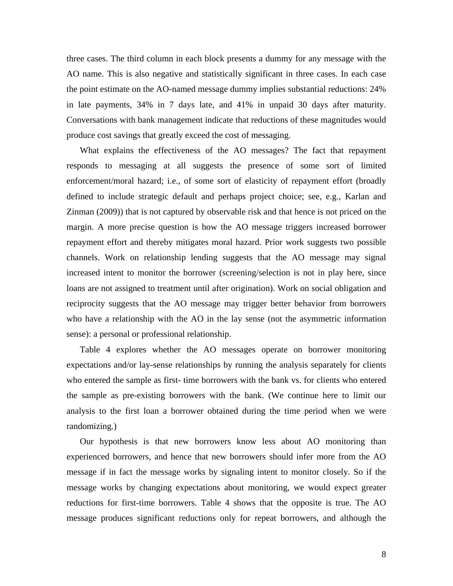three cases. The third column in each block presents a dummy for any message with the AO name. This is also negative and statistically significant in three cases. In each case the point estimate on the AO-named message dummy implies substantial reductions: 24% in late payments, 34% in 7 days late, and 41% in unpaid 30 days after maturity. Conversations with bank management indicate that reductions of these magnitudes would produce cost savings that greatly exceed the cost of messaging.

What explains the effectiveness of the AO messages? The fact that repayment responds to messaging at all suggests the presence of some sort of limited enforcement/moral hazard; i.e., of some sort of elasticity of repayment effort (broadly defined to include strategic default and perhaps project choice; see, e.g., Karlan and Zinman (2009)) that is not captured by observable risk and that hence is not priced on the margin. A more precise question is how the AO message triggers increased borrower repayment effort and thereby mitigates moral hazard. Prior work suggests two possible channels. Work on relationship lending suggests that the AO message may signal increased intent to monitor the borrower (screening/selection is not in play here, since loans are not assigned to treatment until after origination). Work on social obligation and reciprocity suggests that the AO message may trigger better behavior from borrowers who have a relationship with the AO in the lay sense (not the asymmetric information sense): a personal or professional relationship.

Table 4 explores whether the AO messages operate on borrower monitoring expectations and/or lay-sense relationships by running the analysis separately for clients who entered the sample as first- time borrowers with the bank vs. for clients who entered the sample as pre-existing borrowers with the bank. (We continue here to limit our analysis to the first loan a borrower obtained during the time period when we were randomizing.)

Our hypothesis is that new borrowers know less about AO monitoring than experienced borrowers, and hence that new borrowers should infer more from the AO message if in fact the message works by signaling intent to monitor closely. So if the message works by changing expectations about monitoring, we would expect greater reductions for first-time borrowers. Table 4 shows that the opposite is true. The AO message produces significant reductions only for repeat borrowers, and although the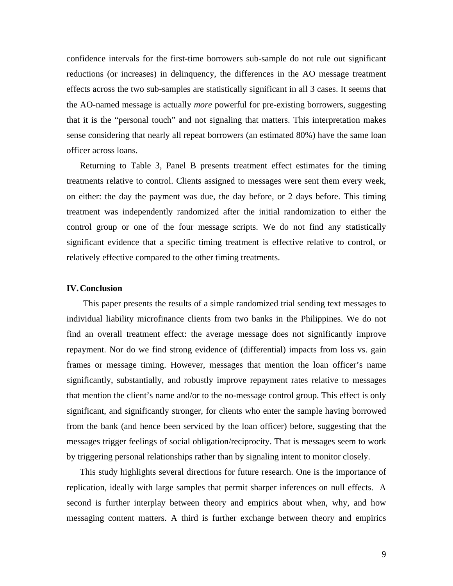confidence intervals for the first-time borrowers sub-sample do not rule out significant reductions (or increases) in delinquency, the differences in the AO message treatment effects across the two sub-samples are statistically significant in all 3 cases. It seems that the AO-named message is actually *more* powerful for pre-existing borrowers, suggesting that it is the "personal touch" and not signaling that matters. This interpretation makes sense considering that nearly all repeat borrowers (an estimated 80%) have the same loan officer across loans.

Returning to Table 3, Panel B presents treatment effect estimates for the timing treatments relative to control. Clients assigned to messages were sent them every week, on either: the day the payment was due, the day before, or 2 days before. This timing treatment was independently randomized after the initial randomization to either the control group or one of the four message scripts. We do not find any statistically significant evidence that a specific timing treatment is effective relative to control, or relatively effective compared to the other timing treatments.

#### **IV.Conclusion**

This paper presents the results of a simple randomized trial sending text messages to individual liability microfinance clients from two banks in the Philippines. We do not find an overall treatment effect: the average message does not significantly improve repayment. Nor do we find strong evidence of (differential) impacts from loss vs. gain frames or message timing. However, messages that mention the loan officer's name significantly, substantially, and robustly improve repayment rates relative to messages that mention the client's name and/or to the no-message control group. This effect is only significant, and significantly stronger, for clients who enter the sample having borrowed from the bank (and hence been serviced by the loan officer) before, suggesting that the messages trigger feelings of social obligation/reciprocity. That is messages seem to work by triggering personal relationships rather than by signaling intent to monitor closely.

This study highlights several directions for future research. One is the importance of replication, ideally with large samples that permit sharper inferences on null effects. A second is further interplay between theory and empirics about when, why, and how messaging content matters. A third is further exchange between theory and empirics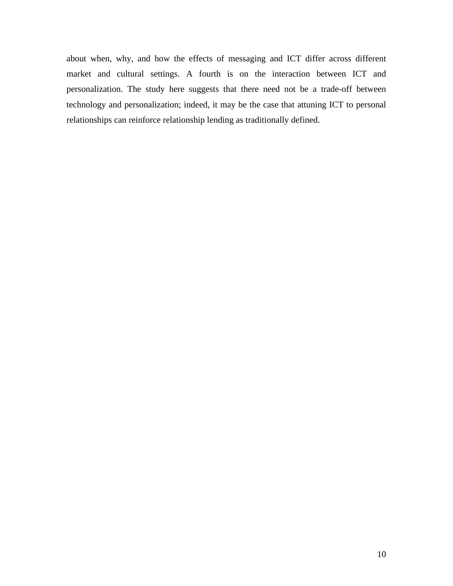about when, why, and how the effects of messaging and ICT differ across different market and cultural settings. A fourth is on the interaction between ICT and personalization. The study here suggests that there need not be a trade-off between technology and personalization; indeed, it may be the case that attuning ICT to personal relationships can reinforce relationship lending as traditionally defined.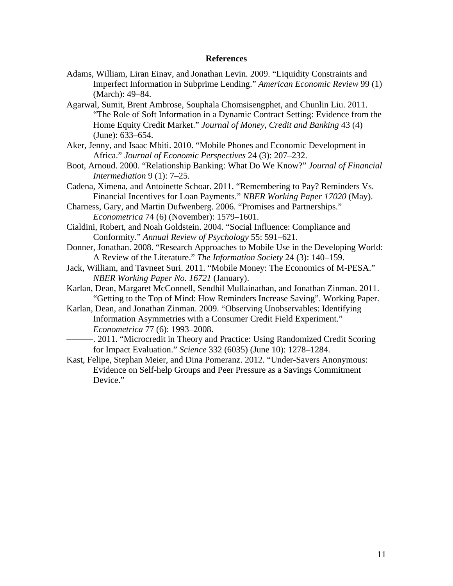#### **References**

- Adams, William, Liran Einav, and Jonathan Levin. 2009. "Liquidity Constraints and Imperfect Information in Subprime Lending." *American Economic Review* 99 (1) (March): 49–84.
- Agarwal, Sumit, Brent Ambrose, Souphala Chomsisengphet, and Chunlin Liu. 2011. "The Role of Soft Information in a Dynamic Contract Setting: Evidence from the Home Equity Credit Market." *Journal of Money, Credit and Banking* 43 (4) (June): 633–654.
- Aker, Jenny, and Isaac Mbiti. 2010. "Mobile Phones and Economic Development in Africa." *Journal of Economic Perspectives* 24 (3): 207–232.
- Boot, Arnoud. 2000. "Relationship Banking: What Do We Know?" *Journal of Financial Intermediation* 9 (1): 7–25.
- Cadena, Ximena, and Antoinette Schoar. 2011. "Remembering to Pay? Reminders Vs. Financial Incentives for Loan Payments." *NBER Working Paper 17020* (May).
- Charness, Gary, and Martin Dufwenberg. 2006. "Promises and Partnerships." *Econometrica* 74 (6) (November): 1579–1601.
- Cialdini, Robert, and Noah Goldstein. 2004. "Social Influence: Compliance and Conformity." *Annual Review of Psychology* 55: 591–621.
- Donner, Jonathan. 2008. "Research Approaches to Mobile Use in the Developing World: A Review of the Literature." *The Information Society* 24 (3): 140–159.
- Jack, William, and Tavneet Suri. 2011. "Mobile Money: The Economics of M-PESA." *NBER Working Paper No. 16721* (January).
- Karlan, Dean, Margaret McConnell, Sendhil Mullainathan, and Jonathan Zinman. 2011. "Getting to the Top of Mind: How Reminders Increase Saving". Working Paper.
- Karlan, Dean, and Jonathan Zinman. 2009. "Observing Unobservables: Identifying Information Asymmetries with a Consumer Credit Field Experiment." *Econometrica* 77 (6): 1993–2008.
- -. 2011. "Microcredit in Theory and Practice: Using Randomized Credit Scoring for Impact Evaluation." *Science* 332 (6035) (June 10): 1278–1284.
- Kast, Felipe, Stephan Meier, and Dina Pomeranz. 2012. "Under-Savers Anonymous: Evidence on Self-help Groups and Peer Pressure as a Savings Commitment Device."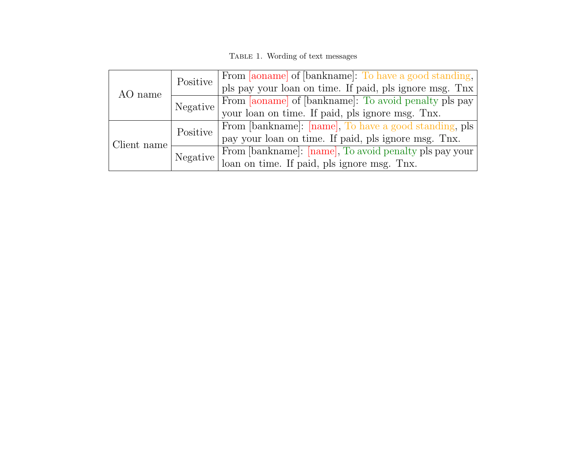TABLE 1. Wording of text messages

| AO name<br>Client name | Positive <sup>1</sup> | From [aoname] of [bankname]: To have a good standing,   |
|------------------------|-----------------------|---------------------------------------------------------|
|                        |                       | pls pay your loan on time. If paid, pls ignore msg. Tnx |
|                        | Negative              | From [aoname] of [bankname]: To avoid penalty pls pay   |
|                        |                       | your loan on time. If paid, pls ignore msg. Tnx.        |
|                        | Positive              | From [bankname]: [name], To have a good standing, pls   |
|                        |                       | pay your loan on time. If paid, pls ignore msg. Tnx.    |
|                        | Negative              | From [bankname]: [name], To avoid penalty pls pay your  |
|                        |                       | loan on time. If paid, pls ignore msg. Tnx.             |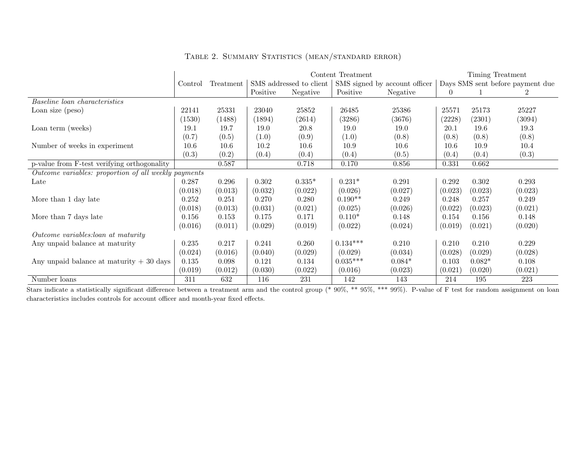|                                                      |         | Content Treatment |          |                         |                               |          |                                  | Timing Treatment |         |  |
|------------------------------------------------------|---------|-------------------|----------|-------------------------|-------------------------------|----------|----------------------------------|------------------|---------|--|
|                                                      | Control | Treatment         |          | SMS addressed to client | SMS signed by account officer |          | Days SMS sent before payment due |                  |         |  |
|                                                      |         |                   | Positive | Negative                | Positive                      | Negative | $\theta$                         |                  | 2       |  |
| Baseline loan characteristics                        |         |                   |          |                         |                               |          |                                  |                  |         |  |
| Loan size (peso)                                     | 22141   | 25331             | 23040    | 25852                   | 26485                         | 25386    | 25571                            | 25173            | 25227   |  |
|                                                      | (1530)  | (1488)            | (1894)   | (2614)                  | (3286)                        | (3676)   | (2228)                           | (2301)           | (3094)  |  |
| Loan term (weeks)                                    | 19.1    | 19.7              | 19.0     | 20.8                    | 19.0                          | 19.0     | 20.1                             | 19.6             | 19.3    |  |
|                                                      | (0.7)   | (0.5)             | (1.0)    | (0.9)                   | (1.0)                         | (0.8)    | (0.8)                            | (0.8)            | (0.8)   |  |
| Number of weeks in experiment                        | 10.6    | 10.6              | 10.2     | $10.6\,$                | 10.9                          | 10.6     | 10.6                             | 10.9             | 10.4    |  |
|                                                      | (0.3)   | (0.2)             | (0.4)    | (0.4)                   | (0.4)                         | (0.5)    | (0.4)                            | (0.4)            | (0.3)   |  |
| p-value from F-test verifying orthogonality          |         | 0.587             |          | 0.718                   | 0.170                         | 0.856    | 0.331                            | 0.662            |         |  |
| Outcome variables: proportion of all weekly payments |         |                   |          |                         |                               |          |                                  |                  |         |  |
| Late                                                 | 0.287   | 0.296             | 0.302    | $0.335*$                | $0.231*$                      | 0.291    | 0.292                            | 0.302            | 0.293   |  |
|                                                      | (0.018) | (0.013)           | (0.032)  | (0.022)                 | (0.026)                       | (0.027)  | (0.023)                          | (0.023)          | (0.023) |  |
| More than 1 day late                                 | 0.252   | 0.251             | 0.270    | 0.280                   | $0.190**$                     | 0.249    | 0.248                            | 0.257            | 0.249   |  |
|                                                      | (0.018) | (0.013)           | (0.031)  | (0.021)                 | (0.025)                       | (0.026)  | (0.022)                          | (0.023)          | (0.021) |  |
| More than 7 days late                                | 0.156   | 0.153             | 0.175    | 0.171                   | $0.110*$                      | 0.148    | 0.154                            | 0.156            | 0.148   |  |
|                                                      | (0.016) | (0.011)           | (0.029)  | (0.019)                 | (0.022)                       | (0.024)  | (0.019)                          | (0.021)          | (0.020) |  |
| Outcome variables: loan at maturity                  |         |                   |          |                         |                               |          |                                  |                  |         |  |
| Any unpaid balance at maturity                       | 0.235   | 0.217             | 0.241    | 0.260                   | $0.134***$                    | 0.210    | 0.210                            | 0.210            | 0.229   |  |
|                                                      | (0.024) | (0.016)           | (0.040)  | (0.029)                 | (0.029)                       | (0.034)  | (0.028)                          | (0.029)          | (0.028) |  |
| Any unpaid balance at maturity $+30$ days            | 0.135   | 0.098             | 0.121    | 0.134                   | $0.035***$                    | $0.084*$ | 0.103                            | $0.082*$         | 0.108   |  |
|                                                      | (0.019) | (0.012)           | (0.030)  | (0.022)                 | (0.016)                       | (0.023)  | (0.021)                          | (0.020)          | (0.021) |  |
| Number loans                                         | 311     | 632               | 116      | 231                     | 142                           | 143      | 214                              | 195              | $223\,$ |  |

# Table 2. Summary Statistics (mean/standard error)

Stars indicate a statistically significant difference between a treatment arm and the control group (\* 90%, \*\*\* 95%, \*\*\* 99%). P-value of F test for random assignment on loan characteristics includes controls for account officer and month-year fixed effects.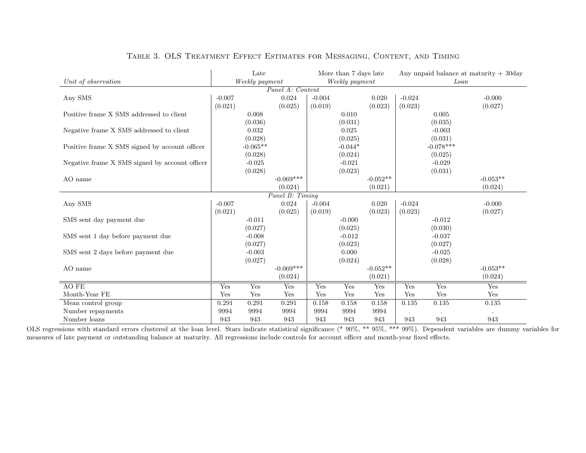|                                                | Late<br>Weekly payment |                  | More than 7 days late |          |           | Any unpaid balance at maturity $+30$ day |          |             |            |
|------------------------------------------------|------------------------|------------------|-----------------------|----------|-----------|------------------------------------------|----------|-------------|------------|
| Unit of observation                            |                        | Panel A: Content | Weekly payment        |          |           | Loan                                     |          |             |            |
| Any SMS                                        | $-0.007$               |                  | 0.024                 | $-0.004$ |           | 0.020                                    | $-0.024$ |             | $-0.000$   |
|                                                | (0.021)                |                  | (0.025)               | (0.019)  |           | (0.023)                                  | (0.023)  |             | (0.027)    |
| Positive frame X SMS addressed to client       |                        | 0.008            |                       |          | 0.010     |                                          |          | 0.005       |            |
|                                                |                        | (0.036)          |                       |          | (0.031)   |                                          |          | (0.035)     |            |
| Negative frame X SMS addressed to client       |                        | 0.032            |                       |          | 0.025     |                                          |          | $-0.003$    |            |
|                                                |                        | (0.028)          |                       |          | (0.025)   |                                          |          | (0.031)     |            |
| Positive frame X SMS signed by account officer |                        | $-0.065**$       |                       |          | $-0.044*$ |                                          |          | $-0.078***$ |            |
|                                                |                        | (0.028)          |                       |          | (0.024)   |                                          |          | (0.025)     |            |
| Negative frame X SMS signed by account officer |                        | $-0.025$         |                       |          | $-0.021$  |                                          |          | $-0.029$    |            |
|                                                |                        | (0.028)          |                       |          | (0.023)   |                                          |          | (0.031)     |            |
| AO name                                        |                        |                  | $-0.069***$           |          |           | $-0.052**$                               |          |             | $-0.053**$ |
|                                                |                        |                  | (0.024)               |          |           | (0.021)                                  |          |             | (0.024)    |
|                                                |                        |                  | Panel B: Timing       |          |           |                                          |          |             |            |
| Any SMS                                        | $-0.007$               |                  | 0.024                 | $-0.004$ |           | 0.020                                    | $-0.024$ |             | $-0.000$   |
|                                                | (0.021)                |                  | (0.025)               | (0.019)  |           | (0.023)                                  | (0.023)  |             | (0.027)    |
| SMS sent day payment due                       |                        | $-0.011$         |                       |          | $-0.000$  |                                          |          | $-0.012$    |            |
|                                                |                        | (0.027)          |                       |          | (0.025)   |                                          |          | (0.030)     |            |
| SMS sent 1 day before payment due              |                        | $-0.008$         |                       |          | $-0.012$  |                                          |          | $-0.037$    |            |
|                                                |                        | (0.027)          |                       |          | (0.023)   |                                          |          | (0.027)     |            |
| SMS sent 2 days before payment due             |                        | $-0.003$         |                       |          | 0.000     |                                          |          | $-0.025$    |            |
|                                                |                        | (0.027)          |                       |          | (0.024)   |                                          |          | (0.028)     |            |
| AO name                                        |                        |                  | $-0.069***$           |          |           | $-0.052**$                               |          |             | $-0.053**$ |
|                                                |                        |                  | (0.024)               |          |           | (0.021)                                  |          |             | (0.024)    |
| AO FE                                          | Yes                    | Yes              | Yes                   | Yes      | Yes       | Yes                                      | Yes      | Yes         | Yes        |
| Month-Year FE                                  | Yes                    | Yes              | Yes                   | Yes      | Yes       | Yes                                      | Yes      | Yes         | Yes        |
| Mean control group                             | 0.291                  | 0.291            | 0.291                 | 0.158    | 0.158     | 0.158                                    | 0.135    | 0.135       | 0.135      |
| Number repayments                              | 9994                   | 9994             | 9994                  | 9994     | 9994      | 9994                                     |          |             | $\cdot$    |
| Number loans                                   | 943                    | 943              | 943                   | 943      | 943       | 943                                      | 943      | 943         | 943        |

## Table 3. OLS Treatment Effect Estimates for Messaging, Content, and Timing

OLS regressions with standard errors clustered at the loan level. Stars indicate statistical significance (\* 90%, \*\* 95%, \*\*\* 99%). Dependent variables are dummy variables for measures of late payment or outstanding balance at maturity. All regressions include controls for account officer and month-year fixed effects.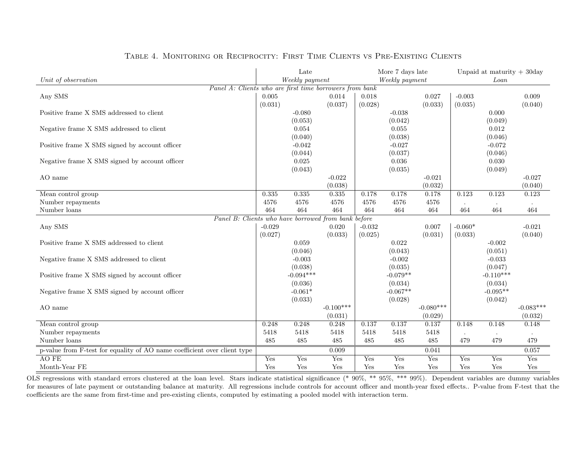|                                                                          | Late           |             |             | More 7 days late |            |             | Unpaid at maturity $+30$ day |             |             |
|--------------------------------------------------------------------------|----------------|-------------|-------------|------------------|------------|-------------|------------------------------|-------------|-------------|
| Unit of observation                                                      | Weekly payment |             |             | Weekly payment   |            |             | Loan                         |             |             |
| Panel A: Clients who are first time borrowers from bank                  |                |             |             |                  |            |             |                              |             |             |
| Any SMS                                                                  | 0.005          |             | 0.014       | 0.018            |            | 0.027       | $-0.003$                     |             | 0.009       |
|                                                                          | (0.031)        |             | (0.037)     | (0.028)          |            | (0.033)     | (0.035)                      |             | (0.040)     |
| Positive frame X SMS addressed to client                                 |                | $-0.080$    |             |                  | $-0.038$   |             |                              | 0.000       |             |
|                                                                          |                | (0.053)     |             |                  | (0.042)    |             |                              | (0.049)     |             |
| Negative frame X SMS addressed to client                                 |                | 0.054       |             |                  | 0.055      |             |                              | 0.012       |             |
|                                                                          |                | (0.040)     |             |                  | (0.038)    |             |                              | (0.046)     |             |
| Positive frame X SMS signed by account officer                           |                | $-0.042$    |             |                  | $-0.027$   |             |                              | $-0.072$    |             |
|                                                                          |                | (0.044)     |             |                  | (0.037)    |             |                              | (0.046)     |             |
| Negative frame X SMS signed by account officer                           |                | 0.025       |             |                  | 0.036      |             |                              | 0.030       |             |
|                                                                          |                | (0.043)     |             |                  | (0.035)    |             |                              | (0.049)     |             |
| $\rm{AO}$ name                                                           |                |             | $-0.022$    |                  |            | $-0.021$    |                              |             | $-0.027$    |
|                                                                          |                |             | (0.038)     |                  |            | (0.032)     |                              |             | (0.040)     |
| Mean control group                                                       | 0.335          | 0.335       | 0.335       | 0.178            | 0.178      | 0.178       | 0.123                        | 0.123       | 0.123       |
| Number repayments                                                        | 4576           | 4576        | 4576        | 4576             | 4576       | 4576        | $\cdot$                      |             |             |
| Number loans                                                             | 464            | 464         | 464         | 464              | 464        | 464         | 464                          | 464         | 464         |
| Panel B: Clients who have borrowed from bank before                      |                |             |             |                  |            |             |                              |             |             |
| Any SMS                                                                  | $-0.029$       |             | 0.020       | $-0.032$         |            | 0.007       | $-0.060*$                    |             | $-0.021$    |
|                                                                          | (0.027)        |             | (0.033)     | (0.025)          |            | (0.031)     | (0.033)                      |             | (0.040)     |
| Positive frame X SMS addressed to client                                 |                | 0.059       |             |                  | 0.022      |             |                              | $-0.002$    |             |
|                                                                          |                | (0.046)     |             |                  | (0.043)    |             |                              | (0.051)     |             |
| Negative frame X SMS addressed to client                                 |                | $-0.003$    |             |                  | $-0.002$   |             |                              | $-0.033$    |             |
|                                                                          |                | (0.038)     |             |                  | (0.035)    |             |                              | (0.047)     |             |
| Positive frame X SMS signed by account officer                           |                | $-0.094***$ |             |                  | $-0.079**$ |             |                              | $-0.110***$ |             |
|                                                                          |                | (0.036)     |             |                  | (0.034)    |             |                              | (0.034)     |             |
| Negative frame X SMS signed by account officer                           |                | $-0.061*$   |             |                  | $-0.067**$ |             |                              | $-0.095**$  |             |
|                                                                          |                | (0.033)     |             |                  | (0.028)    |             |                              | (0.042)     |             |
| $\rm{AO}$ name                                                           |                |             | $-0.100***$ |                  |            | $-0.080***$ |                              |             | $-0.083***$ |
|                                                                          |                |             | (0.031)     |                  |            | (0.029)     |                              |             | (0.032)     |
| Mean control group                                                       | 0.248          | 0.248       | 0.248       | 0.137            | 0.137      | 0.137       | 0.148                        | 0.148       | 0.148       |
| Number repayments                                                        | 5418           | 5418        | 5418        | 5418             | 5418       | 5418        |                              |             |             |
| Number loans                                                             | 485            | 485         | 485         | 485              | 485        | 485         | 479                          | 479         | 479         |
| p-value from F-test for equality of AO name coefficient over client type |                |             | 0.009       |                  |            | 0.041       |                              |             | 0.057       |
| AO FE                                                                    | Yes            | Yes         | Yes         | Yes              | Yes        | Yes         | Yes                          | Yes         | Yes         |
| Month-Year FE                                                            | Yes            | Yes         | Yes         | Yes              | Yes        | Yes         | Yes                          | Yes         | Yes         |

# Table 4. Monitoring or Reciprocity: First Time Clients vs Pre-Existing Clients

OLS regressions with standard errors clustered at the loan level. Stars indicate statistical significance (\* 90%, \*\*\* 99%). Dependent variables are dummy variables for measures of late payment or outstanding balance at maturity. All regressions include controls for account officer and month-year fixed effects.. P-value from F-test that the coefficients are the same from first-time and pre-existing clients, computed by estimating a pooled model with interaction term.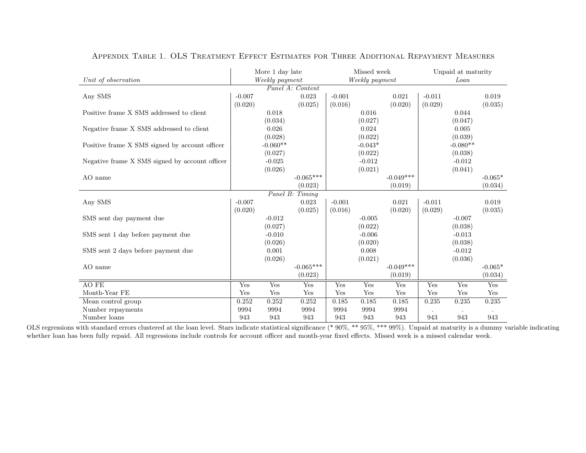|                                                | More 1 day late |            |                 |          | Missed week    |             | Unpaid at maturity |            |           |  |
|------------------------------------------------|-----------------|------------|-----------------|----------|----------------|-------------|--------------------|------------|-----------|--|
| Unit of observation                            | Weekly payment  |            |                 |          | Weekly payment |             | Loan               |            |           |  |
| Panel A: Content                               |                 |            |                 |          |                |             |                    |            |           |  |
| Any SMS                                        | $-0.007$        |            | 0.023           | $-0.001$ |                | 0.021       | $-0.011$           |            | 0.019     |  |
|                                                | (0.020)         |            | (0.025)         | (0.016)  |                | (0.020)     | (0.029)            |            | (0.035)   |  |
| Positive frame X SMS addressed to client       |                 | 0.018      |                 |          | 0.016          |             |                    | 0.044      |           |  |
|                                                |                 | (0.034)    |                 |          | (0.027)        |             |                    | (0.047)    |           |  |
| Negative frame X SMS addressed to client       |                 | 0.026      |                 |          | 0.024          |             |                    | 0.005      |           |  |
|                                                |                 | (0.028)    |                 |          | (0.022)        |             |                    | (0.039)    |           |  |
| Positive frame X SMS signed by account officer |                 | $-0.060**$ |                 |          | $-0.043*$      |             |                    | $-0.080**$ |           |  |
|                                                |                 | (0.027)    |                 |          | (0.022)        |             |                    | (0.038)    |           |  |
| Negative frame X SMS signed by account officer |                 | $-0.025$   |                 |          | $-0.012$       |             |                    | $-0.012$   |           |  |
|                                                |                 | (0.026)    |                 |          | (0.021)        |             |                    | (0.041)    |           |  |
| AO name                                        |                 |            | $-0.065***$     |          |                | $-0.049***$ |                    |            | $-0.065*$ |  |
|                                                |                 |            | (0.023)         |          |                | (0.019)     |                    |            | (0.034)   |  |
|                                                |                 |            | Panel B: Timing |          |                |             |                    |            |           |  |
| Any SMS                                        | $-0.007$        |            | 0.023           | $-0.001$ |                | 0.021       | $-0.011$           |            | 0.019     |  |
|                                                | (0.020)         |            | (0.025)         | (0.016)  |                | (0.020)     | (0.029)            |            | (0.035)   |  |
| SMS sent day payment due                       |                 | $-0.012$   |                 |          | $-0.005$       |             |                    | $-0.007$   |           |  |
|                                                |                 | (0.027)    |                 |          | (0.022)        |             |                    | (0.038)    |           |  |
| SMS sent 1 day before payment due              |                 | $-0.010$   |                 |          | $-0.006$       |             |                    | $-0.013$   |           |  |
|                                                |                 | (0.026)    |                 |          | (0.020)        |             |                    | (0.038)    |           |  |
| SMS sent 2 days before payment due             |                 | 0.001      |                 |          | 0.008          |             |                    | $-0.012$   |           |  |
|                                                |                 | (0.026)    |                 |          | (0.021)        |             |                    | (0.036)    |           |  |
| AO name                                        |                 |            | $-0.065***$     |          |                | $-0.049***$ |                    |            | $-0.065*$ |  |
|                                                |                 |            | (0.023)         |          |                | (0.019)     |                    |            | (0.034)   |  |
| AO FE                                          | Yes             | Yes        | Yes             | Yes      | Yes            | Yes         | Yes                | Yes        | Yes       |  |
| Month-Year FE                                  | Yes             | Yes        | Yes             | Yes      | Yes            | Yes         | Yes                | Yes        | Yes       |  |
| Mean control group                             | 0.252           | 0.252      | 0.252           | 0.185    | 0.185          | 0.185       | 0.235              | 0.235      | 0.235     |  |
| Number repayments                              | 9994            | 9994       | 9994            | 9994     | 9994           | 9994        |                    |            |           |  |
| Number loans                                   | 943             | 943        | 943             | 943      | 943            | 943         | 943                | 943        | 943       |  |

Appendix Table 1. OLS Treatment Effect Estimates for Three Additional Repayment Measures

OLS regressions with standard errors clustered at the loan level. Stars indicate statistical significance (\* 90%, \*\* 95%, \*\*\* 99%). Unpaid at maturity is a dummy variable indicating whether loan has been fully repaid. All regressions include controls for account officer and month-year fixed effects. Missed week is a missed calendar week.